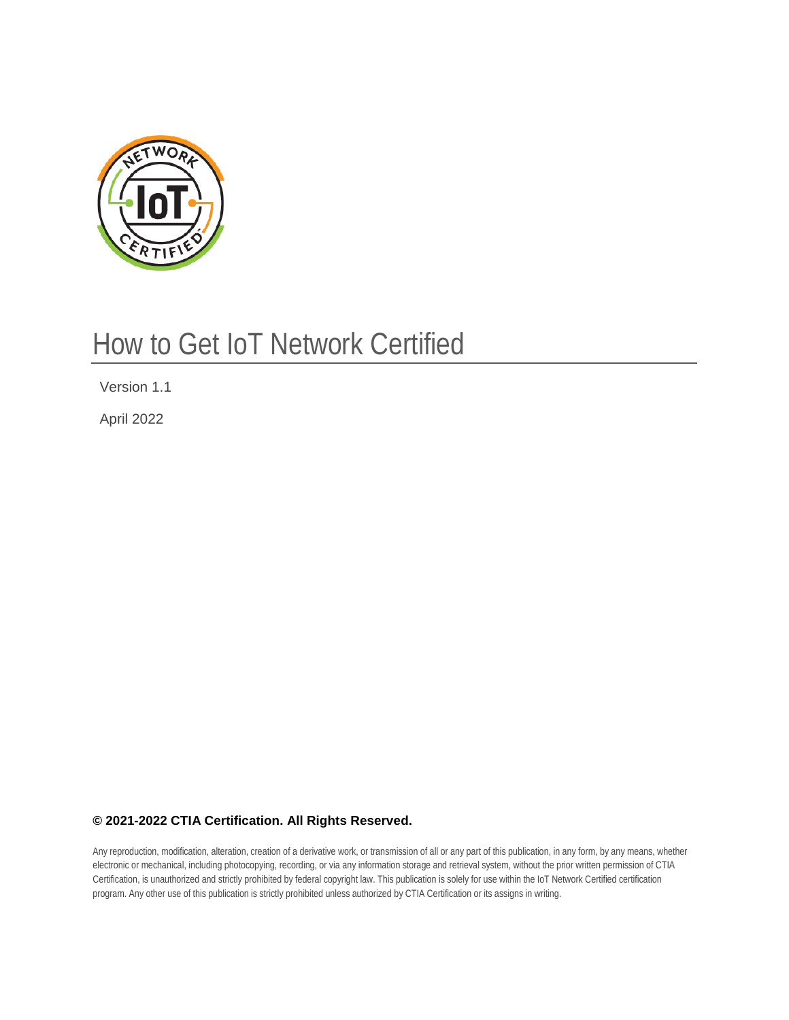

# How to Get IoT Network Certified

Version 1.1

April 2022

# **© 2021-2022 CTIA Certification. All Rights Reserved.**

Any reproduction, modification, alteration, creation of a derivative work, or transmission of all or any part of this publication, in any form, by any means, whether electronic or mechanical, including photocopying, recording, or via any information storage and retrieval system, without the prior written permission of CTIA Certification, is unauthorized and strictly prohibited by federal copyright law. This publication is solely for use within the IoT Network Certified certification program. Any other use of this publication is strictly prohibited unless authorized by CTIA Certification or its assigns in writing.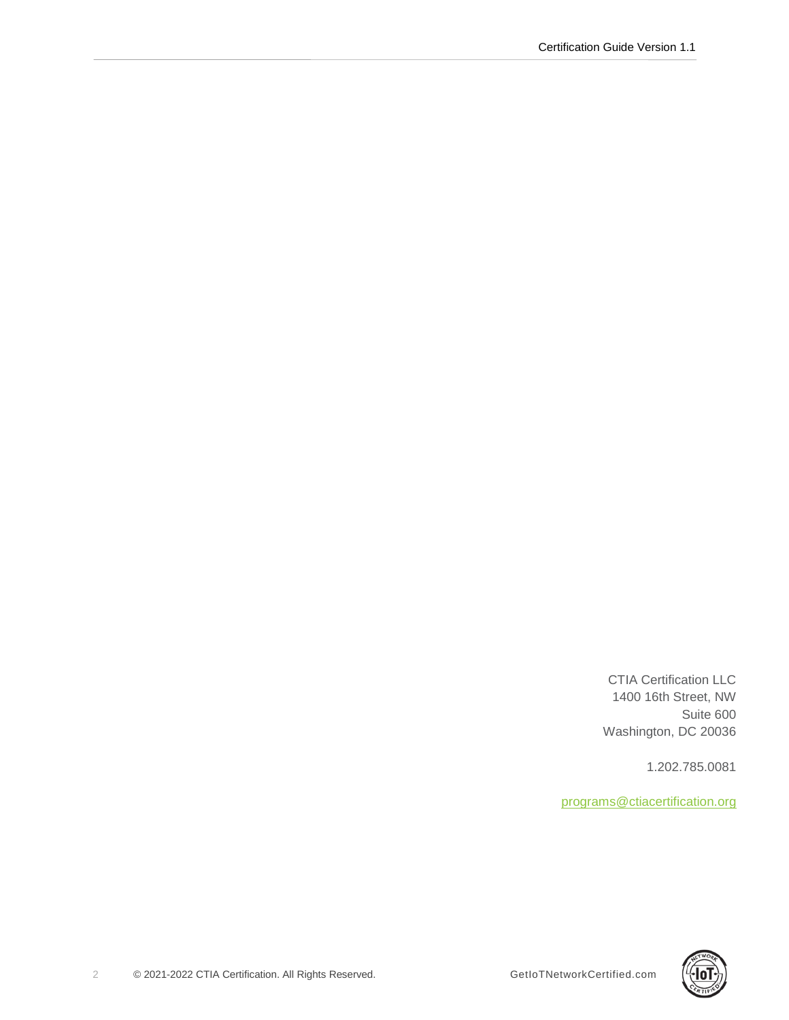CTIA Certification LLC 1400 16th Street, NW Suite 600 Washington, DC 20036

1.202.785.0081

[programs@ctiacertification.org](mailto:programs@ctiacertification.org)

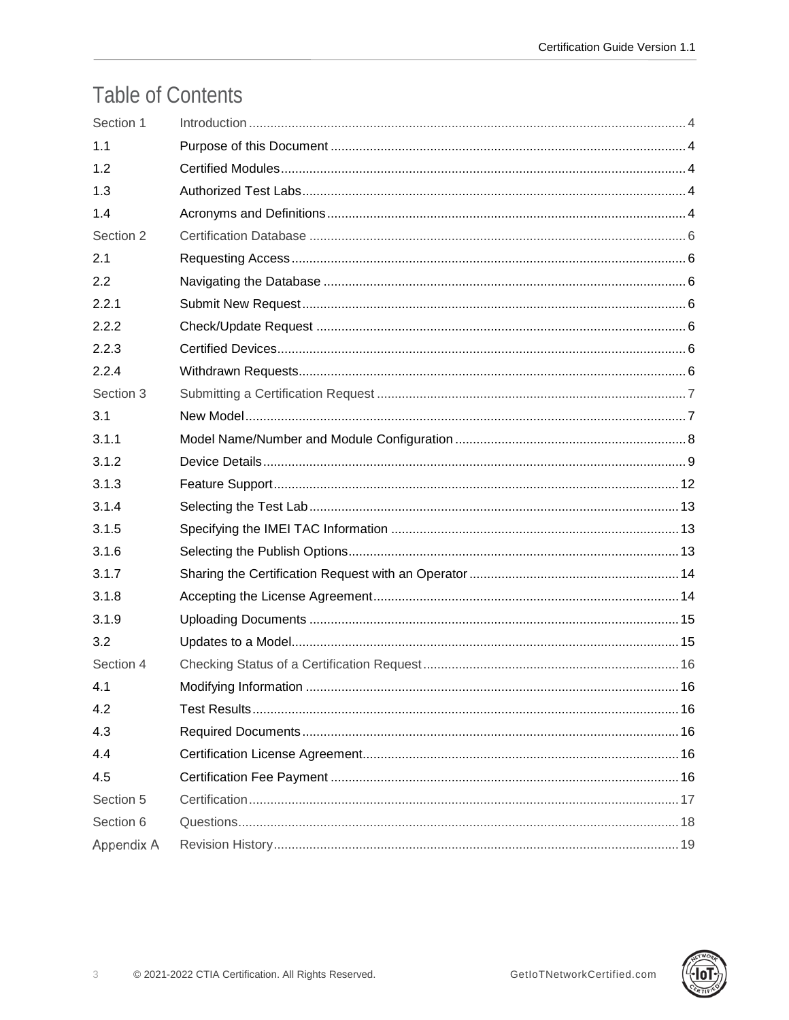# **Table of Contents**

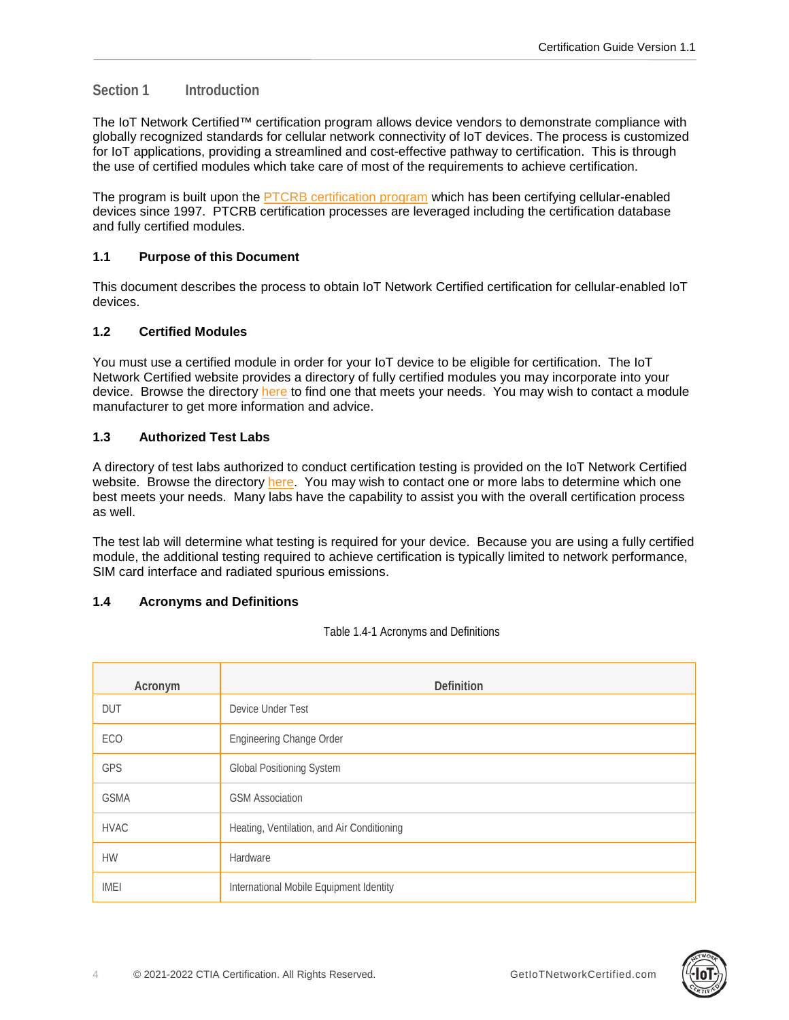# <span id="page-3-0"></span>**Section 1 Introduction**

The IoT Network Certified™ certification program allows device vendors to demonstrate compliance with globally recognized standards for cellular network connectivity of IoT devices. The process is customized for IoT applications, providing a streamlined and cost-effective pathway to certification. This is through the use of certified modules which take care of most of the requirements to achieve certification.

The program is built upon the [PTCRB certification program](https://www.ptcrb.com/) which has been certifying cellular-enabled devices since 1997. PTCRB certification processes are leveraged including the certification database and fully certified modules.

# <span id="page-3-1"></span>**1.1 Purpose of this Document**

This document describes the process to obtain IoT Network Certified certification for cellular-enabled IoT devices.

# <span id="page-3-2"></span>**1.2 Certified Modules**

You must use a certified module in order for your IoT device to be eligible for certification. The IoT Network Certified website provides a directory of fully certified modules you may incorporate into your device. Browse the directory [here](https://iotnetworkcertified.com/get-certified/#certified-module) to find one that meets your needs. You may wish to contact a module manufacturer to get more information and advice.

# <span id="page-3-3"></span>**1.3 Authorized Test Labs**

A directory of test labs authorized to conduct certification testing is provided on the IoT Network Certified website. Browse the directory [here.](https://iotnetworkcertified.com/test-labs/) You may wish to contact one or more labs to determine which one best meets your needs. Many labs have the capability to assist you with the overall certification process as well.

The test lab will determine what testing is required for your device. Because you are using a fully certified module, the additional testing required to achieve certification is typically limited to network performance, SIM card interface and radiated spurious emissions.

# <span id="page-3-4"></span>**1.4 Acronyms and Definitions**

Table 1.4-1 Acronyms and Definitions

| Acronym     | <b>Definition</b>                          |
|-------------|--------------------------------------------|
| <b>DUT</b>  | Device Under Test                          |
| ECO         | Engineering Change Order                   |
| GPS         | <b>Global Positioning System</b>           |
| <b>GSMA</b> | <b>GSM Association</b>                     |
| <b>HVAC</b> | Heating, Ventilation, and Air Conditioning |
| <b>HW</b>   | Hardware                                   |
| <b>IMEI</b> | International Mobile Equipment Identity    |

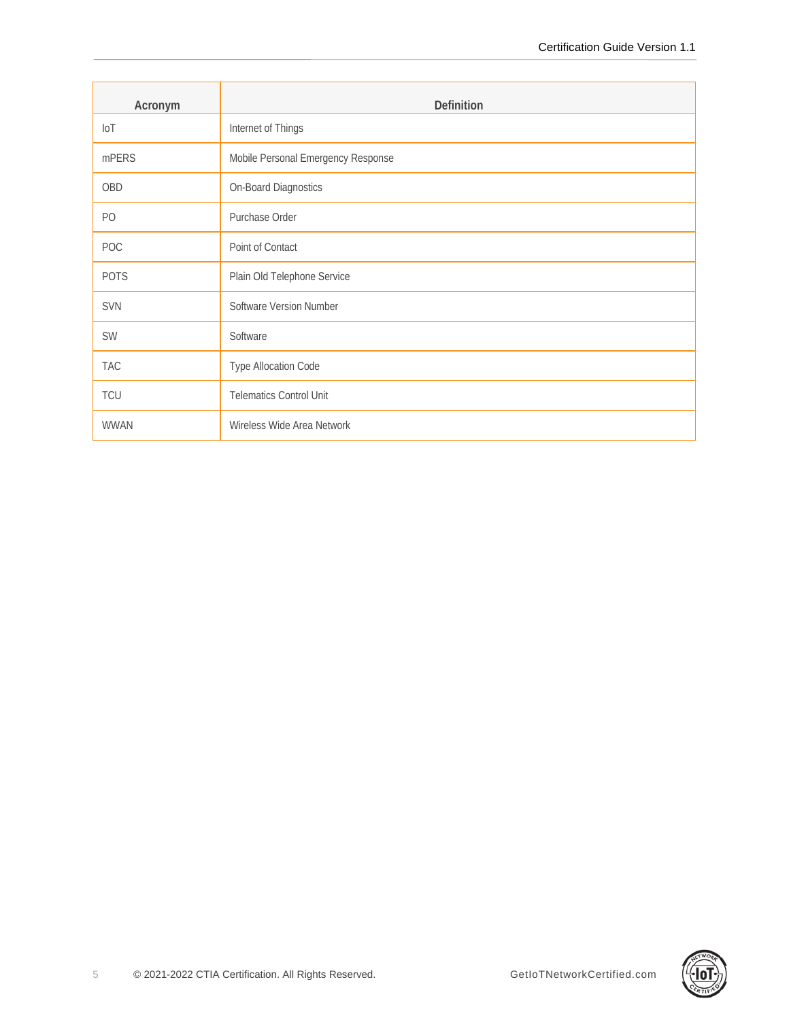| Acronym        | Definition                         |
|----------------|------------------------------------|
| $I \circ T$    | Internet of Things                 |
| mPERS          | Mobile Personal Emergency Response |
| <b>OBD</b>     | On-Board Diagnostics               |
| P <sub>O</sub> | Purchase Order                     |
| POC            | Point of Contact                   |
| <b>POTS</b>    | Plain Old Telephone Service        |
| SVN            | Software Version Number            |
| SW             | Software                           |
| <b>TAC</b>     | Type Allocation Code               |
| TCU            | <b>Telematics Control Unit</b>     |
| <b>WWAN</b>    | Wireless Wide Area Network         |

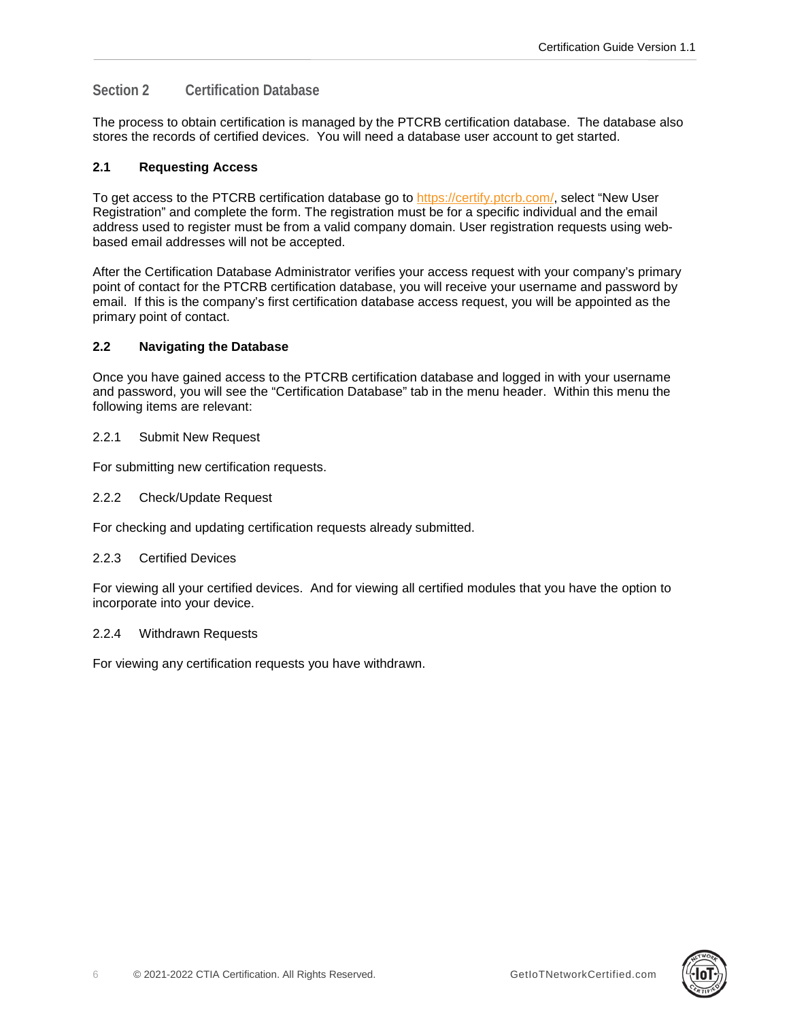# <span id="page-5-0"></span>**Section 2 Certification Database**

The process to obtain certification is managed by the PTCRB certification database. The database also stores the records of certified devices. You will need a database user account to get started.

# <span id="page-5-1"></span>**2.1 Requesting Access**

To get access to the PTCRB certification database go to [https://certify.ptcrb.com/,](https://certify.ptcrb.com/) select "New User Registration" and complete the form. The registration must be for a specific individual and the email address used to register must be from a valid company domain. User registration requests using webbased email addresses will not be accepted.

After the Certification Database Administrator verifies your access request with your company's primary point of contact for the PTCRB certification database, you will receive your username and password by email. If this is the company's first certification database access request, you will be appointed as the primary point of contact.

# <span id="page-5-2"></span>**2.2 Navigating the Database**

Once you have gained access to the PTCRB certification database and logged in with your username and password, you will see the "Certification Database" tab in the menu header. Within this menu the following items are relevant:

# <span id="page-5-3"></span>2.2.1 Submit New Request

<span id="page-5-4"></span>For submitting new certification requests.

2.2.2 Check/Update Request

<span id="page-5-5"></span>For checking and updating certification requests already submitted.

## 2.2.3 Certified Devices

For viewing all your certified devices. And for viewing all certified modules that you have the option to incorporate into your device.

## <span id="page-5-6"></span>2.2.4 Withdrawn Requests

For viewing any certification requests you have withdrawn.

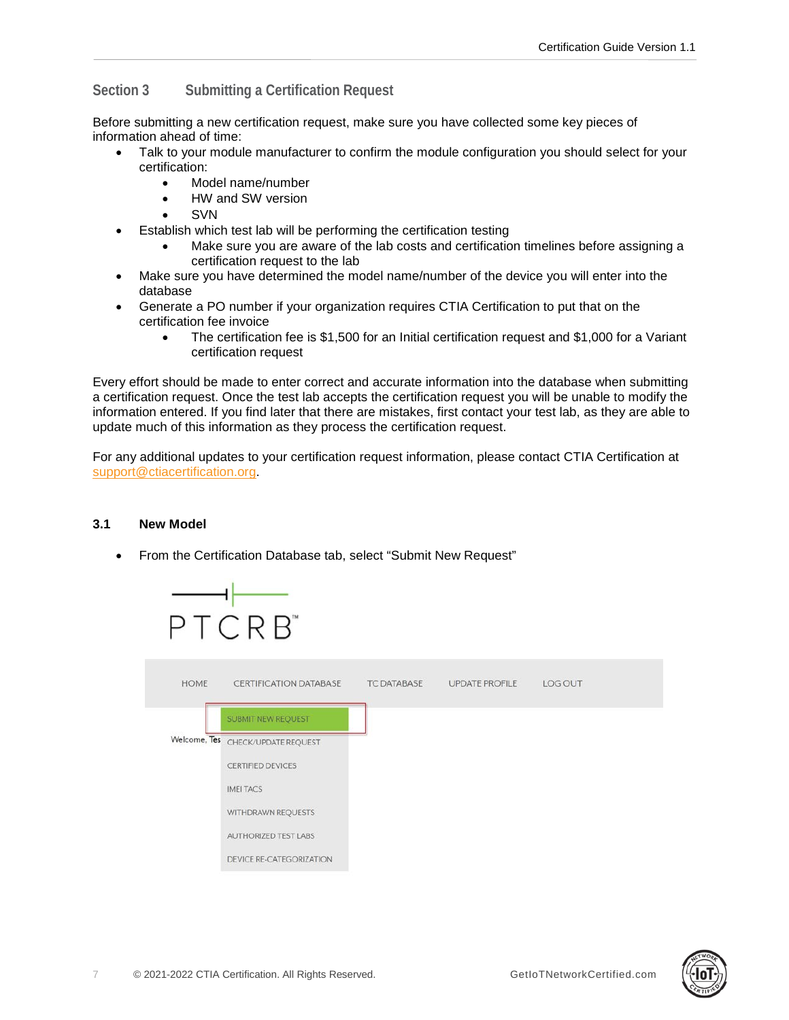# <span id="page-6-0"></span>**Section 3 Submitting a Certification Request**

Before submitting a new certification request, make sure you have collected some key pieces of information ahead of time:

- Talk to your module manufacturer to confirm the module configuration you should select for your certification:
	- Model name/number
	- HW and SW version
	- **SVN**
- Establish which test lab will be performing the certification testing
	- Make sure you are aware of the lab costs and certification timelines before assigning a certification request to the lab
- Make sure you have determined the model name/number of the device you will enter into the database
- Generate a PO number if your organization requires CTIA Certification to put that on the certification fee invoice
	- The certification fee is \$1,500 for an Initial certification request and \$1,000 for a Variant certification request

Every effort should be made to enter correct and accurate information into the database when submitting a certification request. Once the test lab accepts the certification request you will be unable to modify the information entered. If you find later that there are mistakes, first contact your test lab, as they are able to update much of this information as they process the certification request.

For any additional updates to your certification request information, please contact CTIA Certification at [support@ctiacertification.org.](mailto:support@ctiacertification.org)

# <span id="page-6-1"></span>**3.1 New Model**

• From the Certification Database tab, select "Submit New Request"





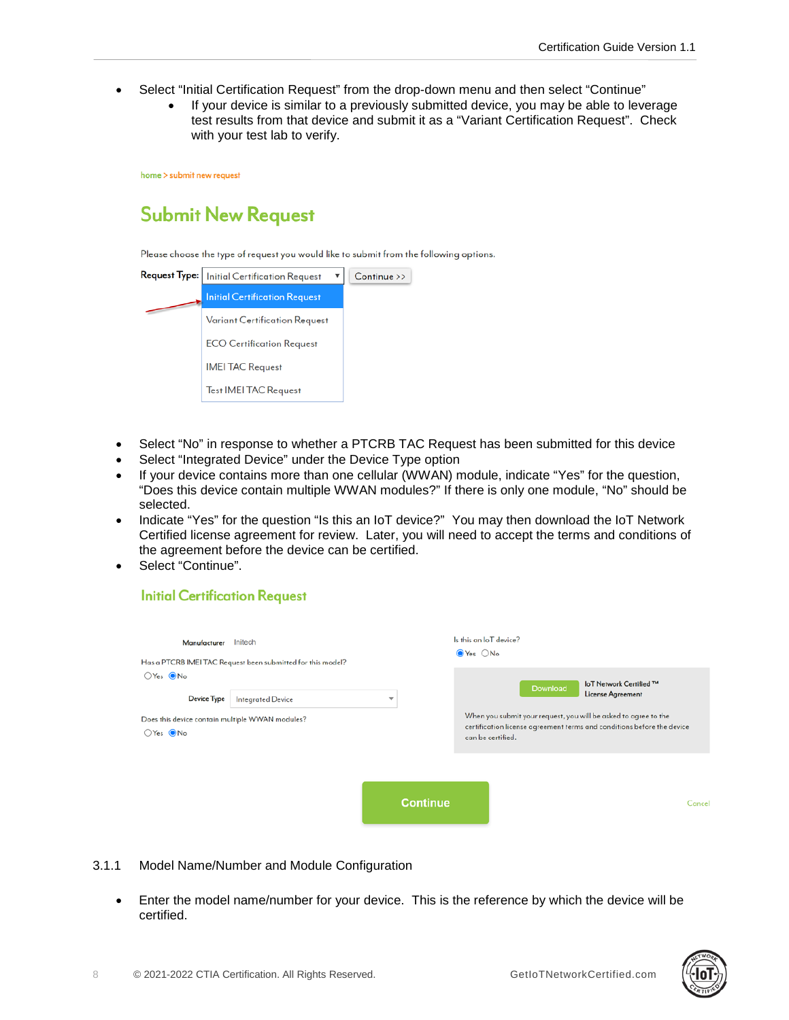- Select "Initial Certification Request" from the drop-down menu and then select "Continue"
	- If your device is similar to a previously submitted device, you may be able to leverage test results from that device and submit it as a "Variant Certification Request". Check with your test lab to verify.

home > submit new request

# **Submit New Request**

Please choose the type of request you would like to submit from the following options.

| <b>Request Type:</b> | <b>Initial Certification Request</b> | Continue >> |
|----------------------|--------------------------------------|-------------|
|                      | <b>Initial Certification Request</b> |             |
|                      | <b>Variant Certification Request</b> |             |
|                      | <b>ECO Certification Request</b>     |             |
|                      | <b>IMEI TAC Request</b>              |             |
|                      | <b>Test IMEI TAC Request</b>         |             |

- Select "No" in response to whether a PTCRB TAC Request has been submitted for this device
- Select "Integrated Device" under the Device Type option
- If your device contains more than one cellular (WWAN) module, indicate "Yes" for the question, "Does this device contain multiple WWAN modules?" If there is only one module, "No" should be selected.
- Indicate "Yes" for the question "Is this an IoT device?" You may then download the IoT Network Certified license agreement for review. Later, you will need to accept the terms and conditions of the agreement before the device can be certified.
- Select "Continue".

# **Initial Certification Request**

| Initech<br>Manufacturer<br>Has a PTCRB IMEI TAC Request been submitted for this model?<br>$OYes$ $ONo$<br>Device Type<br><b>Integrated Device</b><br>Does this device contain multiple WWAN modules?<br>$OYes$ $ONo$ |  | Is this an IoT device?<br>$\odot$ Yes $\bigcirc$ No |                                                                                                                                                                            |                                                            |
|----------------------------------------------------------------------------------------------------------------------------------------------------------------------------------------------------------------------|--|-----------------------------------------------------|----------------------------------------------------------------------------------------------------------------------------------------------------------------------------|------------------------------------------------------------|
|                                                                                                                                                                                                                      |  | $\overline{\phantom{a}}$                            | Download<br>When you submit your request, you will be asked to agree to the<br>certification license agreement terms and conditions before the device<br>can be certified. | <b>IoT Network Certified ™</b><br><b>License Agreement</b> |
|                                                                                                                                                                                                                      |  | <b>Continue</b>                                     |                                                                                                                                                                            | Cancel                                                     |

- <span id="page-7-0"></span>3.1.1 Model Name/Number and Module Configuration
	- Enter the model name/number for your device. This is the reference by which the device will be certified.

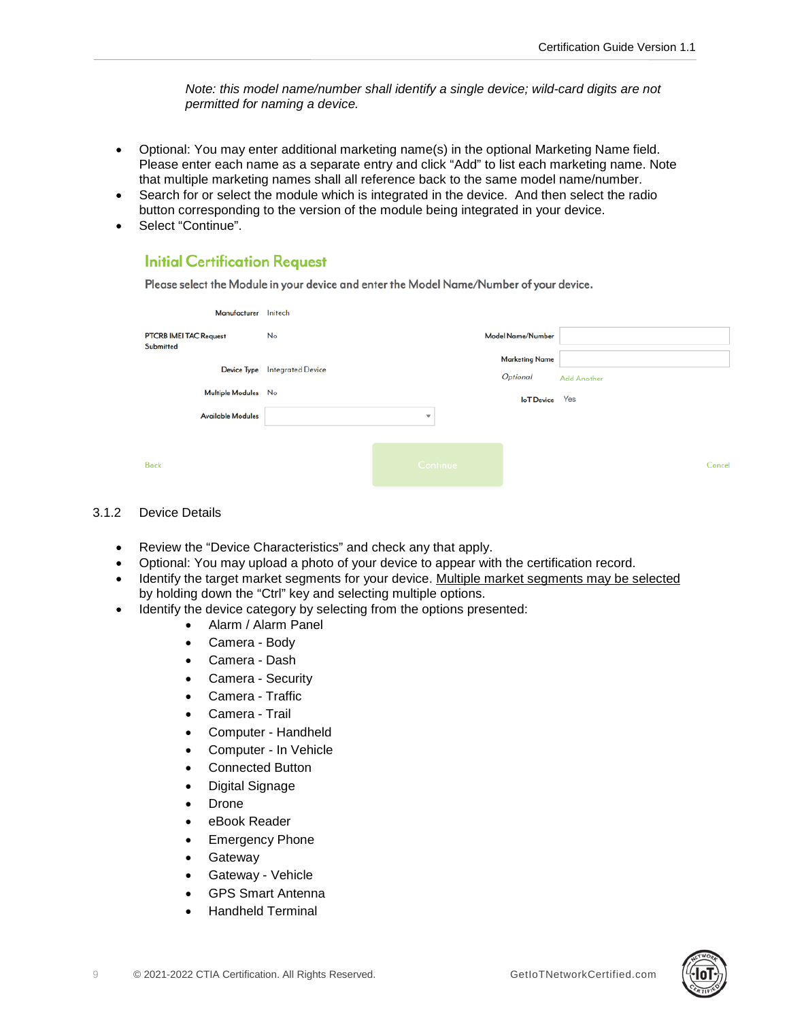*Note: this model name/number shall identify a single device; wild-card digits are not permitted for naming a device.*

- Optional: You may enter additional marketing name(s) in the optional Marketing Name field. Please enter each name as a separate entry and click "Add" to list each marketing name. Note that multiple marketing names shall all reference back to the same model name/number.
- Search for or select the module which is integrated in the device. And then select the radio button corresponding to the version of the module being integrated in your device.
- Select "Continue".

# **Initial Certification Request**

Please select the Module in your device and enter the Model Name/Number of your device.

| Manufacturer                               | Initech                  |                         |                                   |                    |
|--------------------------------------------|--------------------------|-------------------------|-----------------------------------|--------------------|
| <b>PTCRB IMEI TAC Request</b><br>Submitted | No                       |                         | Model Name/Number                 |                    |
| Device Type                                | <b>Integrated Device</b> |                         | <b>Marketing Name</b><br>Optional | <b>Add Another</b> |
| Multiple Modules No                        |                          |                         | <b>IoT</b> Device                 | Yes                |
| <b>Available Modules</b>                   |                          | $\overline{\mathbf{v}}$ |                                   |                    |
|                                            |                          |                         |                                   |                    |
| <b>Back</b>                                |                          | <b>Continue</b>         |                                   | Cancel             |

# <span id="page-8-0"></span>3.1.2 Device Details

- Review the "Device Characteristics" and check any that apply.
- Optional: You may upload a photo of your device to appear with the certification record.
- Identify the target market segments for your device. Multiple market segments may be selected by holding down the "Ctrl" key and selecting multiple options.
- Identify the device category by selecting from the options presented:
	- Alarm / Alarm Panel
	- Camera Body
	- Camera Dash
	- Camera Security
	- Camera Traffic
	- Camera Trail
	- Computer Handheld
	- Computer In Vehicle
	- Connected Button
	- Digital Signage
	- Drone
	- eBook Reader
	- Emergency Phone
	- **Gateway**
	- Gateway Vehicle
	- GPS Smart Antenna
	- Handheld Terminal

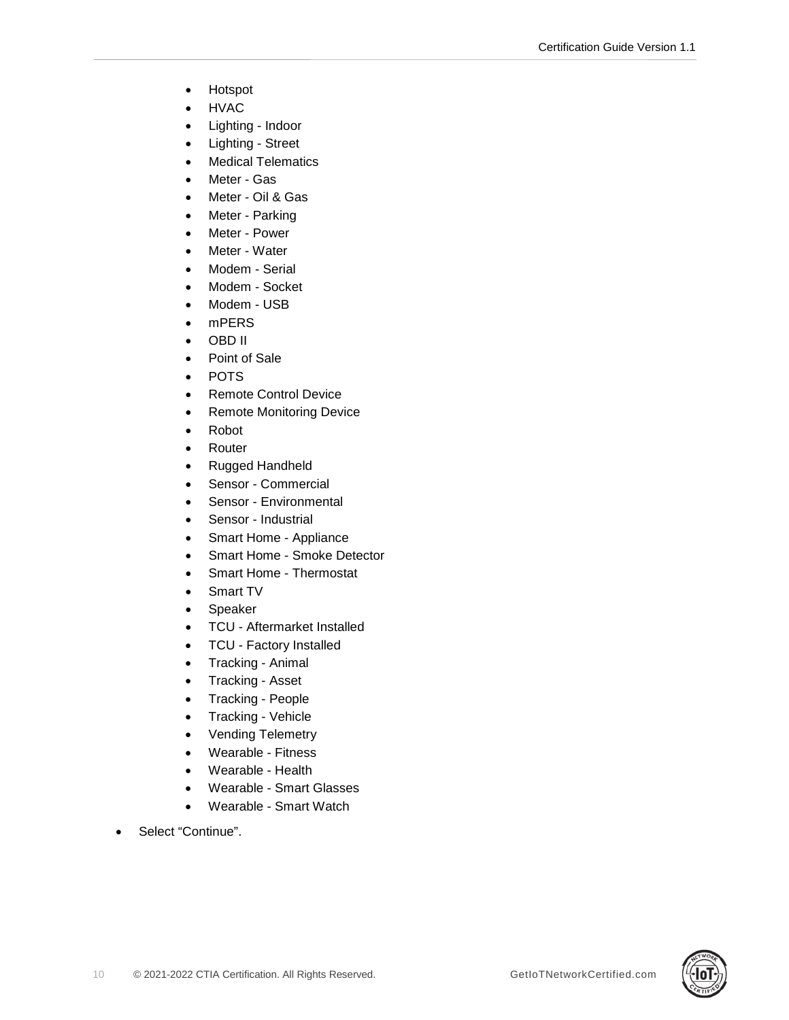- Hotspot
- HVAC
- Lighting Indoor
- Lighting Street
- Medical Telematics
- Meter Gas
- Meter Oil & Gas
- Meter Parking
- Meter Power
- Meter Water
- Modem Serial
- Modem Socket
- Modem USB
- mPERS
- OBD II
- Point of Sale
- POTS
- Remote Control Device
- Remote Monitoring Device
- Robot
- Router
- Rugged Handheld
- Sensor Commercial
- Sensor Environmental
- Sensor Industrial
- Smart Home Appliance
- Smart Home Smoke Detector
- Smart Home Thermostat
- Smart TV
- Speaker
- TCU Aftermarket Installed
- TCU Factory Installed
- Tracking Animal
- Tracking Asset
- Tracking People
- Tracking Vehicle
- Vending Telemetry
- Wearable Fitness
- Wearable Health
- Wearable Smart Glasses
- Wearable Smart Watch
- Select "Continue".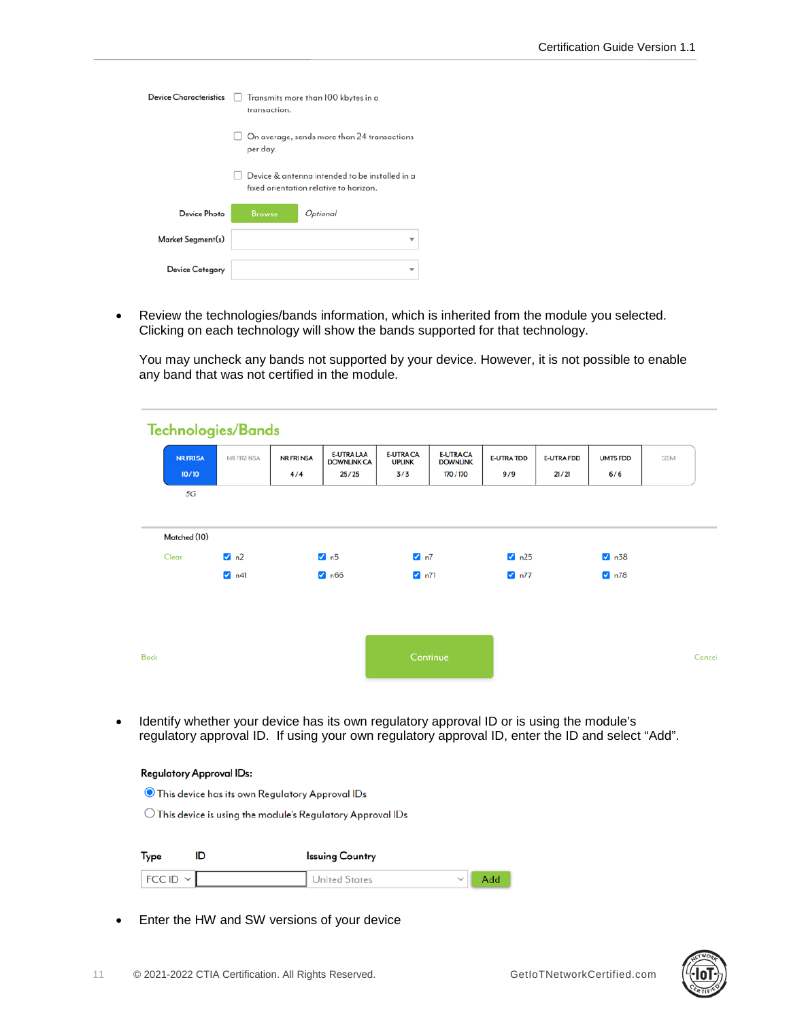| <b>Device Characteristics</b> | transaction.  | Transmits more than 100 kbytes in a                                                      |
|-------------------------------|---------------|------------------------------------------------------------------------------------------|
|                               | per day.      | On average, sends more than 24 transactions                                              |
|                               |               | Device & antenna intended to be installed in a<br>fixed orientation relative to horizon. |
| Device Photo                  | <b>Browse</b> | Optional                                                                                 |
| Market Segment(s)             |               |                                                                                          |
| <b>Device Category</b>        |               |                                                                                          |

• Review the technologies/bands information, which is inherited from the module you selected. Clicking on each technology will show the bands supported for that technology.

You may uncheck any bands not supported by your device. However, it is not possible to enable any band that was not certified in the module.

|      |                  | <b>Technologies/Bands</b> |                   |                                         |                                   |                                     |                   |                   |                 |            |
|------|------------------|---------------------------|-------------------|-----------------------------------------|-----------------------------------|-------------------------------------|-------------------|-------------------|-----------------|------------|
|      | <b>NR FRI SA</b> | NR FR2 NSA                | <b>NR FRI NSA</b> | <b>E-UTRA LAA</b><br><b>DOWNLINK CA</b> | <b>E-UTRA CA</b><br><b>UPLINK</b> | <b>E-UTRA CA</b><br><b>DOWNLINK</b> | <b>E-UTRA TDD</b> | <b>E-UTRA FDD</b> | <b>UMTS FDD</b> | <b>GSM</b> |
|      | 10/10<br>5G      |                           | 4/4               | 25/25                                   | 3/3                               | 170 / 170                           | 9/9               | 21/21             | 6/6             |            |
|      |                  |                           |                   |                                         |                                   |                                     |                   |                   |                 |            |
|      | Matched (10)     |                           |                   |                                         |                                   |                                     |                   |                   |                 |            |
|      | Clear            | 2n2                       |                   | $\blacksquare$ n5                       | $\nabla$ n7                       |                                     | 25                |                   | 2 n38           |            |
|      |                  | $\sqrt{1}$ n41            |                   | $\blacksquare$ n66                      | $\sqrt{ }$ n71                    |                                     | $\sqrt{2}$ n77    |                   | $\n  n78\n$     |            |
|      |                  |                           |                   |                                         |                                   |                                     |                   |                   |                 |            |
|      |                  |                           |                   |                                         |                                   |                                     |                   |                   |                 |            |
| Back |                  |                           |                   |                                         |                                   | Continue                            |                   |                   |                 | Cancel     |

• Identify whether your device has its own regulatory approval ID or is using the module's regulatory approval ID. If using your own regulatory approval ID, enter the ID and select "Add".

#### **Regulatory Approval IDs:**

© This device has its own Regulatory Approval IDs

 $\bigcirc$  This device is using the module's Regulatory Approval IDs

| Type         |  | <b>Issuing Country</b> |     |  |
|--------------|--|------------------------|-----|--|
| $FCCID \vee$ |  | United States          | Add |  |

• Enter the HW and SW versions of your device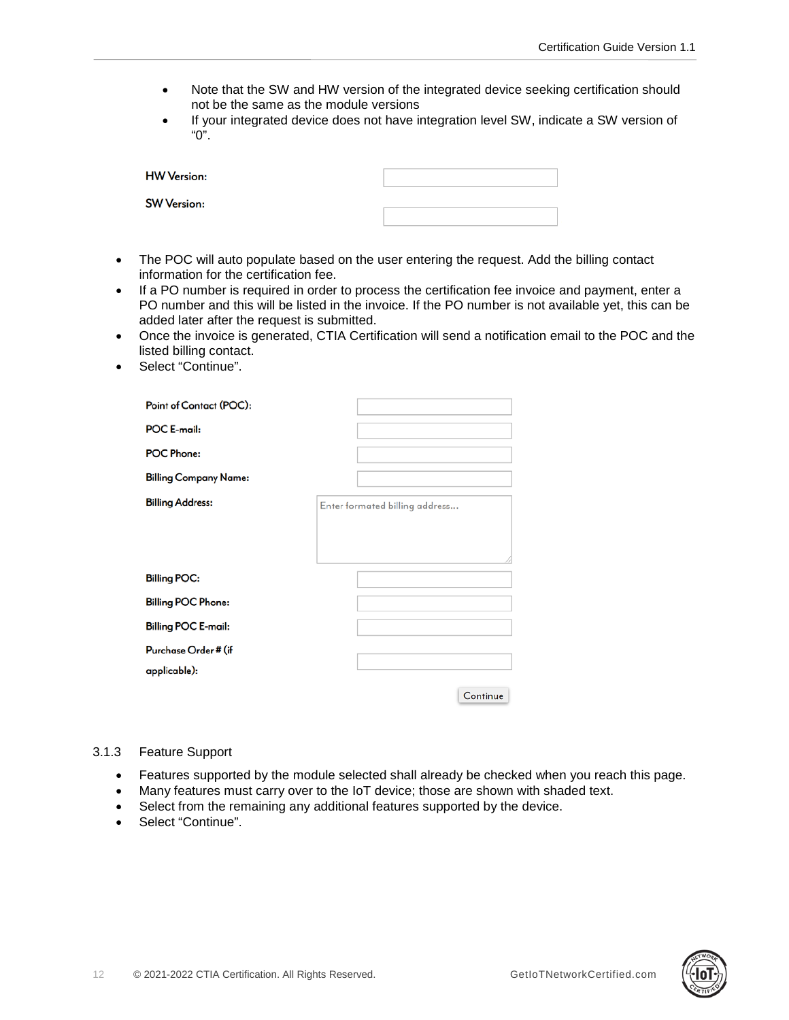- Note that the SW and HW version of the integrated device seeking certification should not be the same as the module versions
- If your integrated device does not have integration level SW, indicate a SW version of "0".

| <b>HW Version:</b> |  |
|--------------------|--|
| <b>SW Version:</b> |  |

- The POC will auto populate based on the user entering the request. Add the billing contact information for the certification fee.
- If a PO number is required in order to process the certification fee invoice and payment, enter a PO number and this will be listed in the invoice. If the PO number is not available yet, this can be added later after the request is submitted.
- Once the invoice is generated, CTIA Certification will send a notification email to the POC and the listed billing contact.
- Select "Continue".

| Point of Contact (POC):      |                                |
|------------------------------|--------------------------------|
| <b>POC E-mail:</b>           |                                |
| <b>POC Phone:</b>            |                                |
| <b>Billing Company Name:</b> |                                |
| <b>Billing Address:</b>      | Enter formated billing address |
|                              |                                |
|                              |                                |
| <b>Billing POC:</b>          |                                |
| <b>Billing POC Phone:</b>    |                                |
| <b>Billing POC E-mail:</b>   |                                |
| Purchase Order # (if         |                                |
| applicable):                 |                                |
|                              | Continue                       |

### <span id="page-11-0"></span>3.1.3 Feature Support

- Features supported by the module selected shall already be checked when you reach this page.
- Many features must carry over to the IoT device; those are shown with shaded text.
- Select from the remaining any additional features supported by the device.
- Select "Continue".

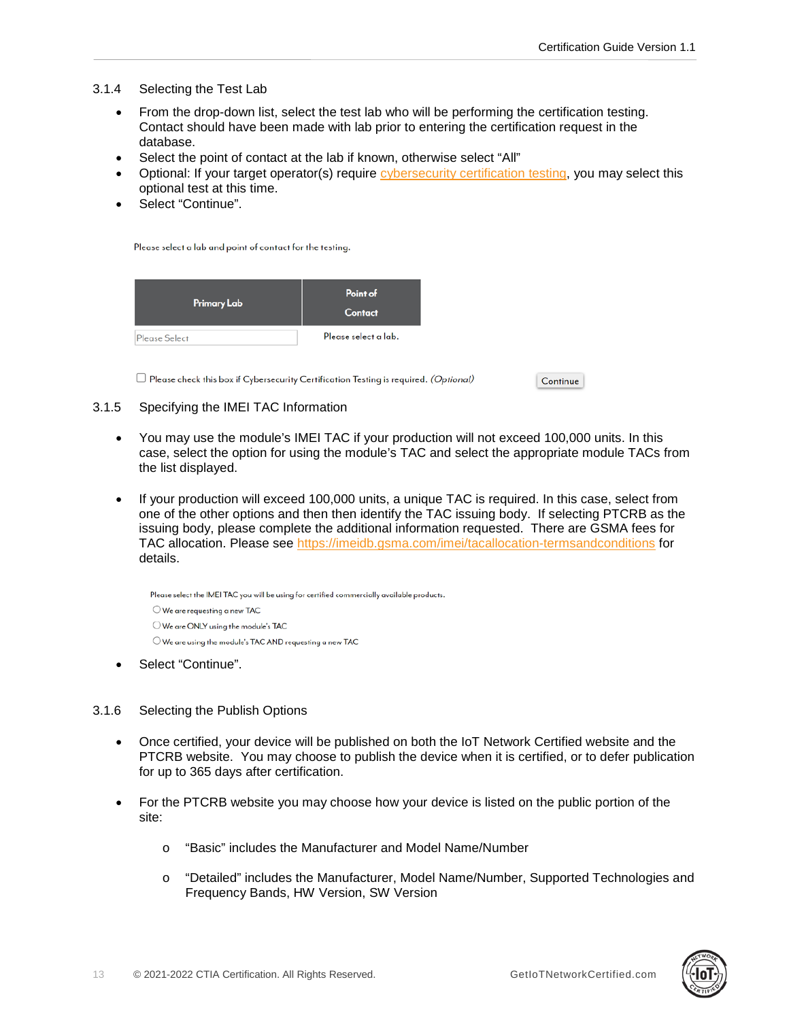# <span id="page-12-0"></span>3.1.4 Selecting the Test Lab

- From the drop-down list, select the test lab who will be performing the certification testing. Contact should have been made with lab prior to entering the certification request in the database.
- Select the point of contact at the lab if known, otherwise select "All"
- Optional: If your target operator(s) require [cybersecurity certification](https://ctiacertification.org/program/iot-cybersecurity-certification/) testing, you may select this optional test at this time.
- Select "Continue".

Please select a lab and point of contact for the testing.

| Primary Lab   | Point of<br><b>Contact</b> |
|---------------|----------------------------|
| Please Select | Please select a lab.       |

 $\Box$  Please check this box if Cybersecurity Certification Testing is required. (Optional)

Continue

## <span id="page-12-1"></span>3.1.5 Specifying the IMEI TAC Information

- You may use the module's IMEI TAC if your production will not exceed 100,000 units. In this case, select the option for using the module's TAC and select the appropriate module TACs from the list displayed.
- If your production will exceed 100,000 units, a unique TAC is required. In this case, select from one of the other options and then then identify the TAC issuing body. If selecting PTCRB as the issuing body, please complete the additional information requested. There are GSMA fees for TAC allocation. Please see<https://imeidb.gsma.com/imei/tacallocation-termsandconditions> for details.

Please select the IMEI TAC you will be using for certified commercially available products.  $\bigcirc$  We are requesting a new TAC O We are ONLY using the module's TAC  $\bigcirc$  We are using the module's TAC AND requesting a new TAC

Select "Continue".

## <span id="page-12-2"></span>3.1.6 Selecting the Publish Options

- Once certified, your device will be published on both the IoT Network Certified website and the PTCRB website. You may choose to publish the device when it is certified, or to defer publication for up to 365 days after certification.
- For the PTCRB website you may choose how your device is listed on the public portion of the site:
	- o "Basic" includes the Manufacturer and Model Name/Number
	- o "Detailed" includes the Manufacturer, Model Name/Number, Supported Technologies and Frequency Bands, HW Version, SW Version

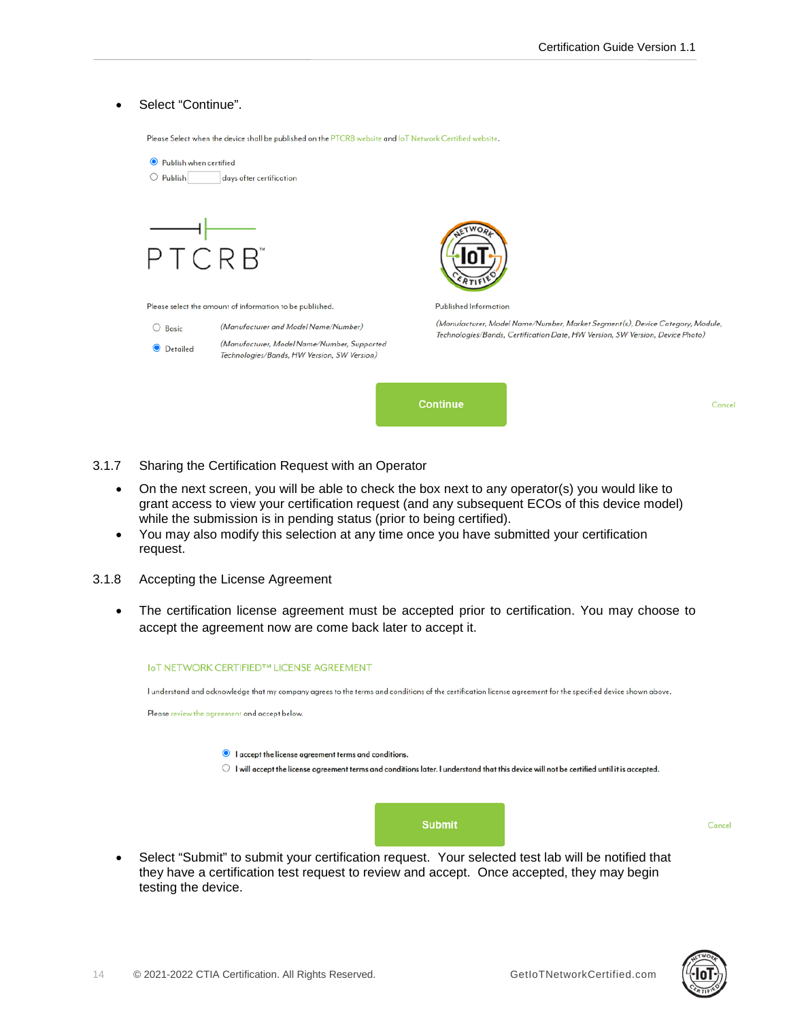### Select "Continue".

Please Select when the device shall be published on the PTCRB website and IoT Network Certified website.

| Publish when certified<br>$\bullet$                      |                                                                                            |                                                                                                                                                                |  |        |
|----------------------------------------------------------|--------------------------------------------------------------------------------------------|----------------------------------------------------------------------------------------------------------------------------------------------------------------|--|--------|
| $\bigcirc$ Publish                                       | days after certification                                                                   |                                                                                                                                                                |  |        |
|                                                          |                                                                                            |                                                                                                                                                                |  |        |
| PTCRB <sup>*</sup>                                       |                                                                                            |                                                                                                                                                                |  |        |
| Please select the amount of information to be published. |                                                                                            | Published Information                                                                                                                                          |  |        |
| O<br>Basic                                               | (Manufacturer and Model Name/Number)                                                       | (Manufacturer, Model Name/Number, Market Segment(s), Device Category, Module,<br>Technologies/Bands, Certification Date, HW Version, SW Version, Device Photo) |  |        |
| $\bullet$<br>Detailed                                    | (Manufacturer, Model Name/Number, Supported<br>Technologies/Bands, HW Version, SW Version) |                                                                                                                                                                |  |        |
|                                                          |                                                                                            | <b>Continue</b>                                                                                                                                                |  | Cancel |

- <span id="page-13-0"></span>3.1.7 Sharing the Certification Request with an Operator
	- On the next screen, you will be able to check the box next to any operator(s) you would like to grant access to view your certification request (and any subsequent ECOs of this device model) while the submission is in pending status (prior to being certified).
	- You may also modify this selection at any time once you have submitted your certification request.
- <span id="page-13-1"></span>3.1.8 Accepting the License Agreement
	- The certification license agreement must be accepted prior to certification. You may choose to accept the agreement now are come back later to accept it.

| <b>IoT NETWORK CERTIFIED™ LICENSE AGREEMENT</b>                                                                                                              |
|--------------------------------------------------------------------------------------------------------------------------------------------------------------|
| l understand and acknowledge that my company agrees to the terms and conditions of the certification license agreement for the specified device shown above. |
| Please review the agreement and accept below.                                                                                                                |
|                                                                                                                                                              |
| laccept the license agreement terms and conditions.                                                                                                          |
| I will accept the license agreement terms and conditions later. I understand that this device will not be certified until it is accepted.                    |
|                                                                                                                                                              |
|                                                                                                                                                              |
|                                                                                                                                                              |
| <b>Submit</b>                                                                                                                                                |
|                                                                                                                                                              |
| Select "Submit" to submit your certification request. Your selected test lab will be notified that                                                           |

• Select "Submit" to submit your certification request. Your selected test lab will be notified that they have a certification test request to review and accept. Once accepted, they may begin testing the device.



Cancel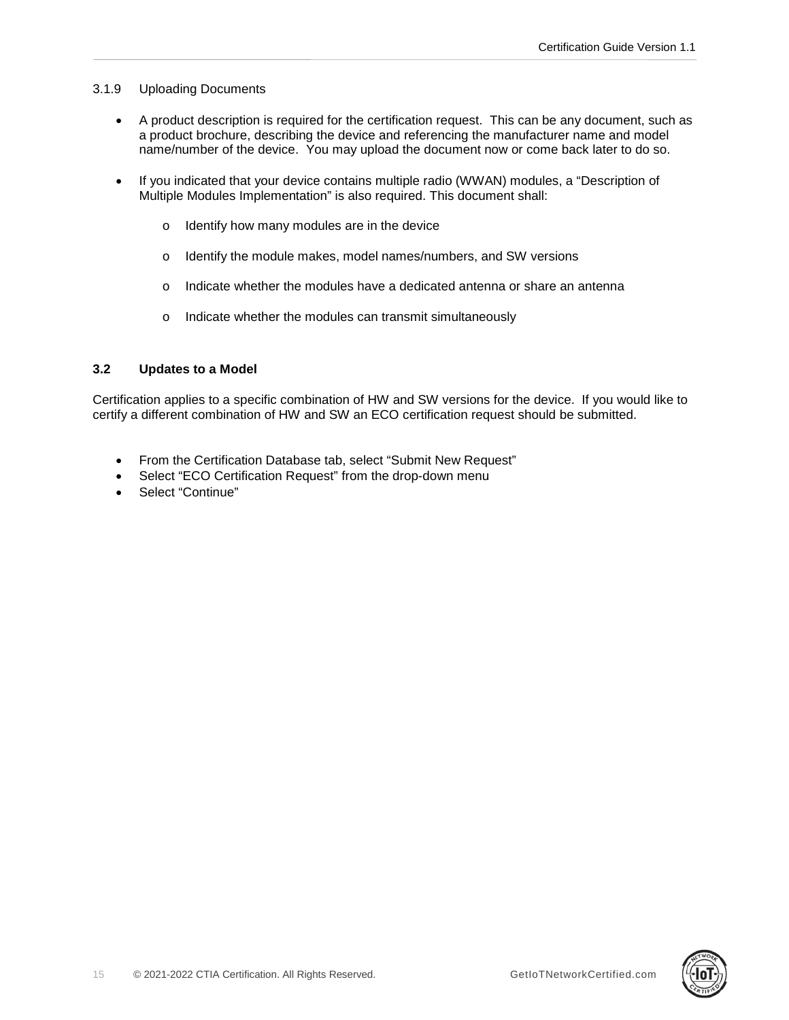# <span id="page-14-0"></span>3.1.9 Uploading Documents

- A product description is required for the certification request. This can be any document, such as a product brochure, describing the device and referencing the manufacturer name and model name/number of the device. You may upload the document now or come back later to do so.
- If you indicated that your device contains multiple radio (WWAN) modules, a "Description of Multiple Modules Implementation" is also required. This document shall:
	- o Identify how many modules are in the device
	- o Identify the module makes, model names/numbers, and SW versions
	- o Indicate whether the modules have a dedicated antenna or share an antenna
	- o Indicate whether the modules can transmit simultaneously

# <span id="page-14-1"></span>**3.2 Updates to a Model**

Certification applies to a specific combination of HW and SW versions for the device. If you would like to certify a different combination of HW and SW an ECO certification request should be submitted.

- From the Certification Database tab, select "Submit New Request"
- Select "ECO Certification Request" from the drop-down menu
- Select "Continue"

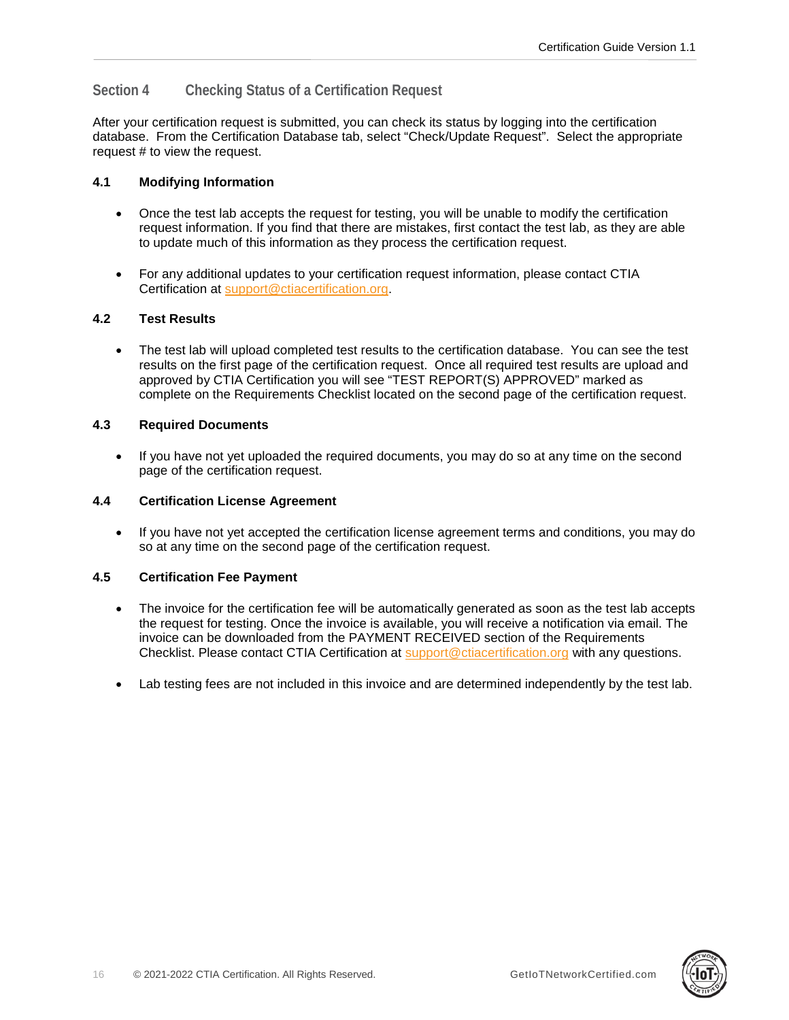# <span id="page-15-0"></span>**Section 4 Checking Status of a Certification Request**

After your certification request is submitted, you can check its status by logging into the certification database. From the Certification Database tab, select "Check/Update Request". Select the appropriate request # to view the request.

# <span id="page-15-1"></span>**4.1 Modifying Information**

- Once the test lab accepts the request for testing, you will be unable to modify the certification request information. If you find that there are mistakes, first contact the test lab, as they are able to update much of this information as they process the certification request.
- For any additional updates to your certification request information, please contact CTIA Certification at [support@ctiacertification.org.](mailto:support@ctiacertification.org)

# <span id="page-15-2"></span>**4.2 Test Results**

• The test lab will upload completed test results to the certification database. You can see the test results on the first page of the certification request. Once all required test results are upload and approved by CTIA Certification you will see "TEST REPORT(S) APPROVED" marked as complete on the Requirements Checklist located on the second page of the certification request.

# <span id="page-15-3"></span>**4.3 Required Documents**

• If you have not yet uploaded the required documents, you may do so at any time on the second page of the certification request.

## <span id="page-15-4"></span>**4.4 Certification License Agreement**

• If you have not yet accepted the certification license agreement terms and conditions, you may do so at any time on the second page of the certification request.

## <span id="page-15-5"></span>**4.5 Certification Fee Payment**

- The invoice for the certification fee will be automatically generated as soon as the test lab accepts the request for testing. Once the invoice is available, you will receive a notification via email. The invoice can be downloaded from the PAYMENT RECEIVED section of the Requirements Checklist. Please contact CTIA Certification at [support@ctiacertification.org](mailto:support@ctiacertification.org) with any questions.
- Lab testing fees are not included in this invoice and are determined independently by the test lab.

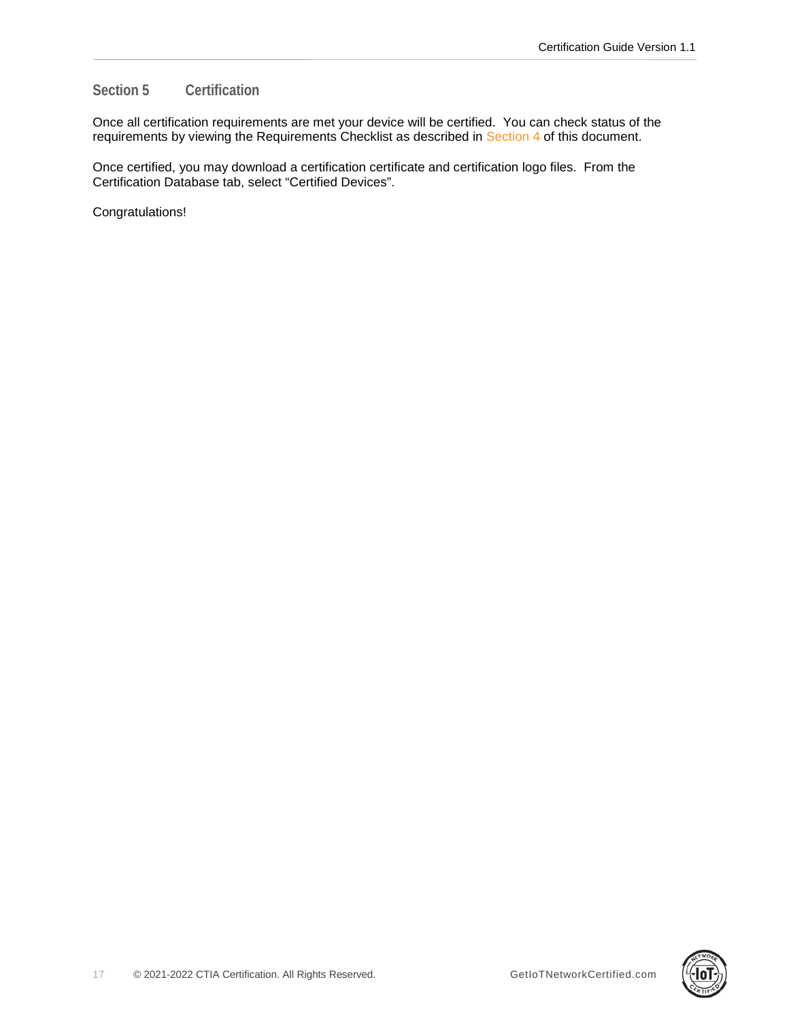# <span id="page-16-0"></span>**Section 5 Certification**

Once all certification requirements are met your device will be certified. You can check status of the requirements by viewing the Requirements Checklist as described in [Section 4](#page-15-0) of this document.

Once certified, you may download a certification certificate and certification logo files. From the Certification Database tab, select "Certified Devices".

Congratulations!

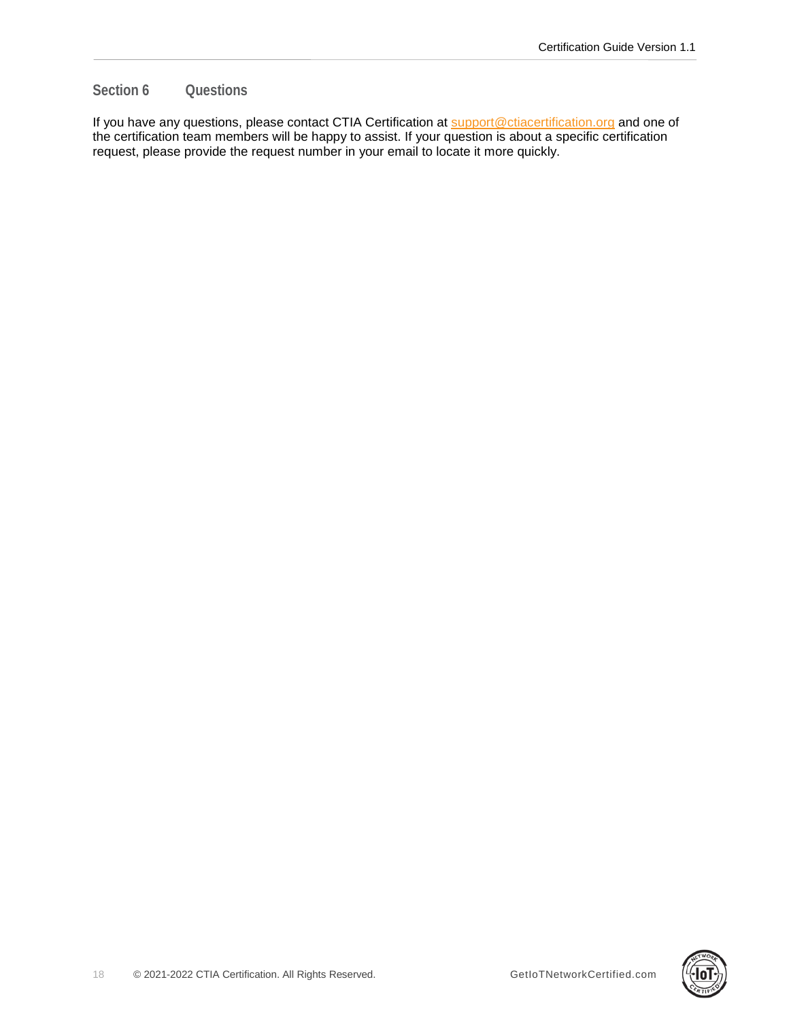# <span id="page-17-0"></span>**Section 6 Questions**

If you have any questions, please contact CTIA Certification at **support@ctiacertification.org** and one of the certification team members will be happy to assist. If your question is about a specific certification request, please provide the request number in your email to locate it more quickly.